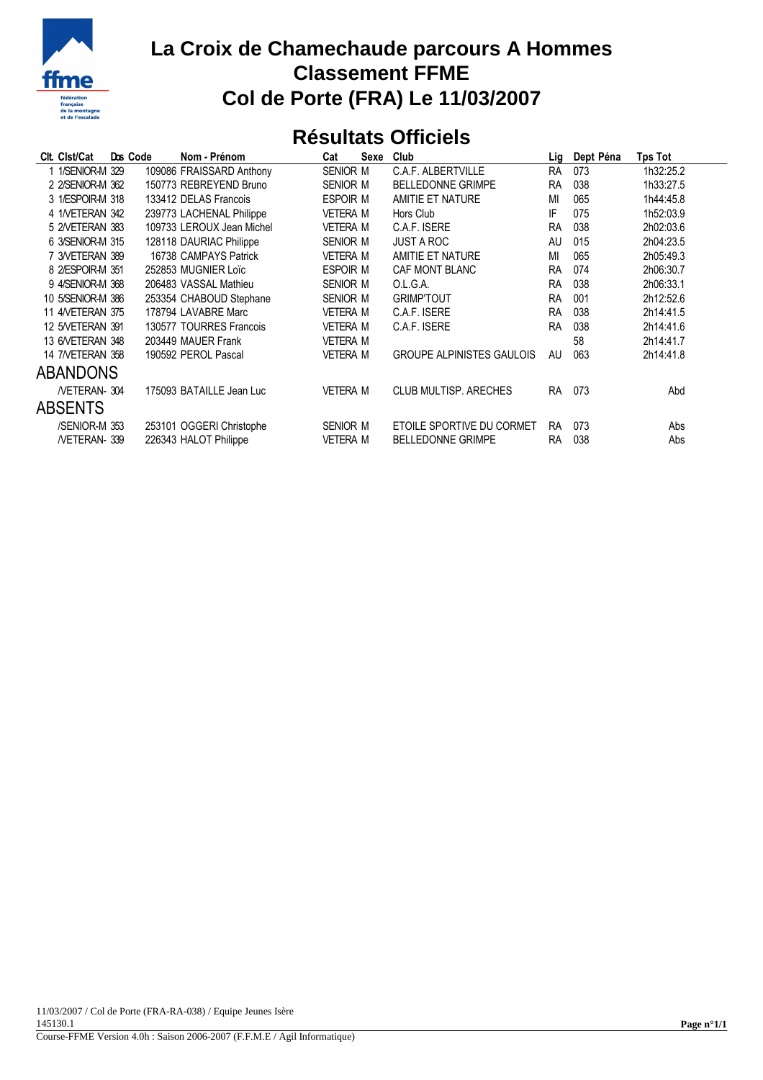

## **La Croix de Chamechaude parcours A Hommes Classement FFME Col de Porte (FRA) Le 11/03/2007**

## **Résultats Officiels**

| Clt. Clst/Cat           | Dos Code | Nom - Prénom              | Cat             | Sexe | Club                             | Lig       | Dept Péna | Tps Tot   |
|-------------------------|----------|---------------------------|-----------------|------|----------------------------------|-----------|-----------|-----------|
| 1 1/SENIOR-M 329        |          | 109086 FRAISSARD Anthony  | SENIOR M        |      | C.A.F. ALBERTVILLE               | <b>RA</b> | 073       | 1h32:25.2 |
| 2 2/SENIOR-M 362        |          | 150773 REBREYEND Bruno    | SENIOR M        |      | <b>BELLEDONNE GRIMPE</b>         | <b>RA</b> | 038       | 1h33:27.5 |
| 3 1/ESPOIR-M 318        |          | 133412 DELAS Francois     | <b>ESPOIR M</b> |      | AMITIE ET NATURE                 | MI        | 065       | 1h44:45.8 |
| 4 1NETERAN 342          |          | 239773 LACHENAL Philippe  | <b>VETERA M</b> |      | Hors Club                        | IF        | 075       | 1h52:03.9 |
| 5 2NETERAN 383          |          | 109733 LEROUX Jean Michel | <b>VETERA M</b> |      | C.A.F. ISERE                     | <b>RA</b> | 038       | 2h02:03.6 |
| 6 3/SENIOR-M 315        |          | 128118 DAURIAC Philippe   | SENIOR M        |      | <b>JUST A ROC</b>                | AU        | 015       | 2h04:23.5 |
| 7 3NETERAN 389          |          | 16738 CAMPAYS Patrick     | <b>VETERA M</b> |      | AMITIE ET NATURE                 | MI        | 065       | 2h05:49.3 |
| 8 2/ESPOIR-M 351        |          | 252853 MUGNIER Loïc       | <b>ESPOIR M</b> |      | <b>CAF MONT BLANC</b>            | <b>RA</b> | 074       | 2h06:30.7 |
| 9 4/SENIOR-M 368        |          | 206483 VASSAL Mathieu     | SENIOR M        |      | O.L.G.A.                         | <b>RA</b> | 038       | 2h06:33.1 |
| 10 5/SENIOR-M 386       |          | 253354 CHABOUD Stephane   | SENIOR M        |      | <b>GRIMPTOUT</b>                 | <b>RA</b> | 001       | 2h12:52.6 |
| <b>11 4/VETERAN 375</b> |          | 178794 LAVABRE Marc       | <b>VETERA M</b> |      | C.A.F. ISERE                     | <b>RA</b> | 038       | 2h14:41.5 |
| 12 5NETERAN 391         |          | 130577 TOURRES Francois   | <b>VETERA M</b> |      | C.A.F. ISERE                     | <b>RA</b> | 038       | 2h14:41.6 |
| 13 6NETERAN 348         |          | 203449 MAUER Frank        | <b>VETERA M</b> |      |                                  |           | 58        | 2h14:41.7 |
| <b>14 7/VETERAN 358</b> |          | 190592 PEROL Pascal       | <b>VETERA M</b> |      | <b>GROUPE ALPINISTES GAULOIS</b> | AU        | 063       | 2h14:41.8 |
| <b>ABANDONS</b>         |          |                           |                 |      |                                  |           |           |           |
| /VETERAN-304            |          | 175093 BATAILLE Jean Luc  | <b>VETERA M</b> |      | <b>CLUB MULTISP, ARECHES</b>     | <b>RA</b> | 073       | Abd       |
| <b>ABSENTS</b>          |          |                           |                 |      |                                  |           |           |           |
| /SENIOR-M 353           |          | 253101 OGGERI Christophe  | SENIOR M        |      | ETOILE SPORTIVE DU CORMET        | <b>RA</b> | 073       | Abs       |
| /VETERAN-339            |          | 226343 HALOT Philippe     | <b>VETERA M</b> |      | <b>BELLEDONNE GRIMPE</b>         | RA        | 038       | Abs       |
|                         |          |                           |                 |      |                                  |           |           |           |